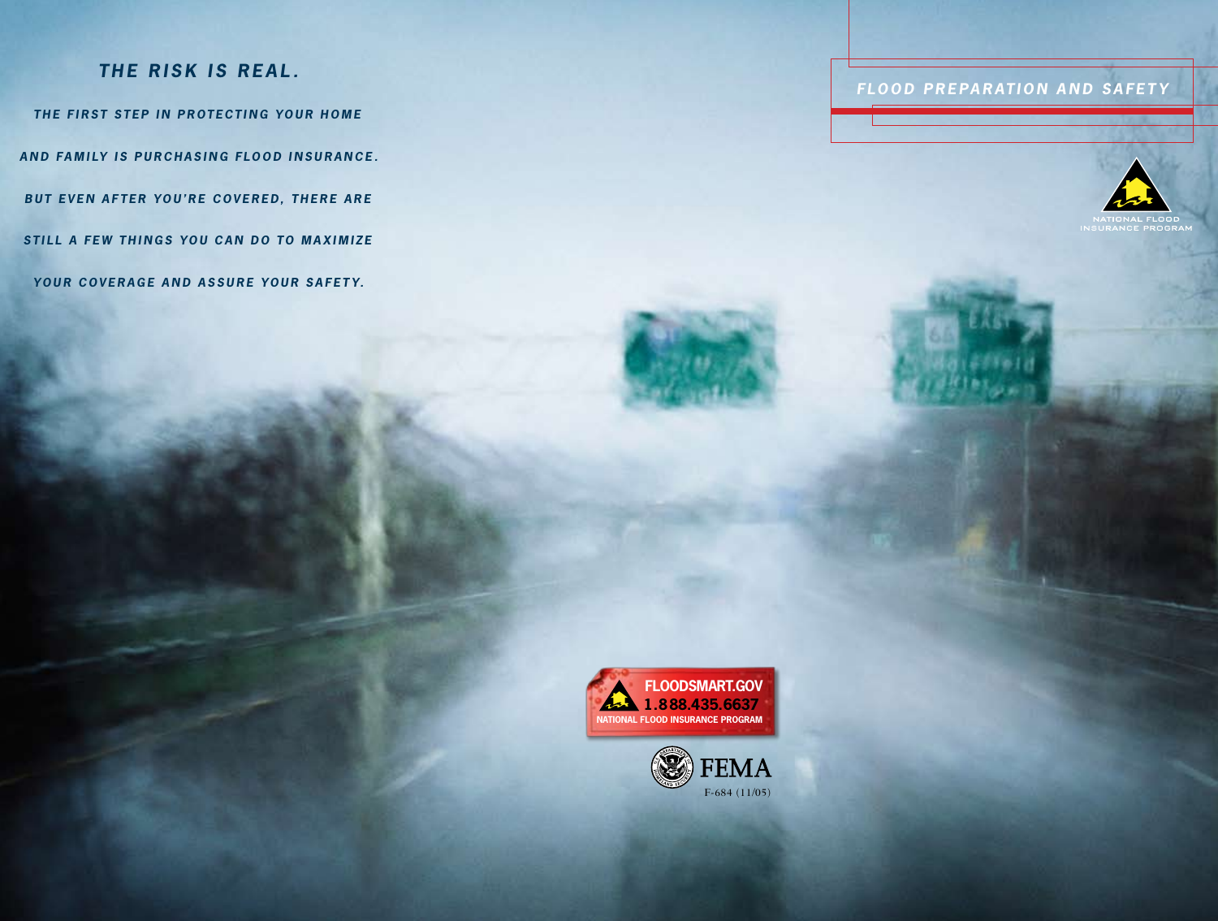## *TH E RISK IS REA L .*

*THE FIRST STEP IN PROTECTING YOUR HOME AND FAMILY IS PURCHASING FLOOD INSURANCE.* **BUT EVEN AFTER YOU'RE COVERED, THERE ARE STILL A FEW THINGS YOU CAN DO TO MAXIMIZE** *yo u r c o v er a g e a n d a s s u r e yo u r s a fet y.*

**FLOOD PREPARATION AND SAFETY** 



INSURANCE PROGRAM